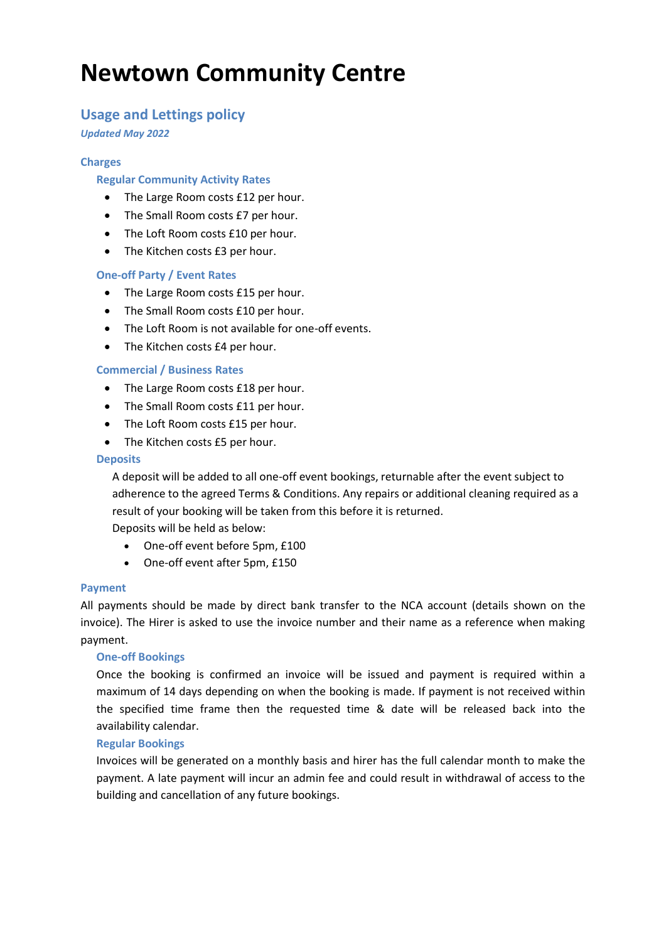# **Newtown Community Centre**

# **Usage and Lettings policy**

*Updated May 2022*

# **Charges**

# **Regular Community Activity Rates**

- The Large Room costs £12 per hour.
- The Small Room costs £7 per hour.
- The Loft Room costs £10 per hour.
- The Kitchen costs £3 per hour.

## **One-off Party / Event Rates**

- The Large Room costs £15 per hour.
- The Small Room costs £10 per hour.
- The Loft Room is not available for one-off events.
- The Kitchen costs £4 per hour.

## **Commercial / Business Rates**

- The Large Room costs £18 per hour.
- The Small Room costs £11 per hour.
- The Loft Room costs £15 per hour.
- The Kitchen costs £5 per hour.

## **Deposits**

A deposit will be added to all one-off event bookings, returnable after the event subject to adherence to the agreed Terms & Conditions. Any repairs or additional cleaning required as a result of your booking will be taken from this before it is returned.

Deposits will be held as below:

- One-off event before 5pm, £100
- One-off event after 5pm, £150

## **Payment**

All payments should be made by direct bank transfer to the NCA account (details shown on the invoice). The Hirer is asked to use the invoice number and their name as a reference when making payment.

## **One-off Bookings**

Once the booking is confirmed an invoice will be issued and payment is required within a maximum of 14 days depending on when the booking is made. If payment is not received within the specified time frame then the requested time & date will be released back into the availability calendar.

## **Regular Bookings**

Invoices will be generated on a monthly basis and hirer has the full calendar month to make the payment. A late payment will incur an admin fee and could result in withdrawal of access to the building and cancellation of any future bookings.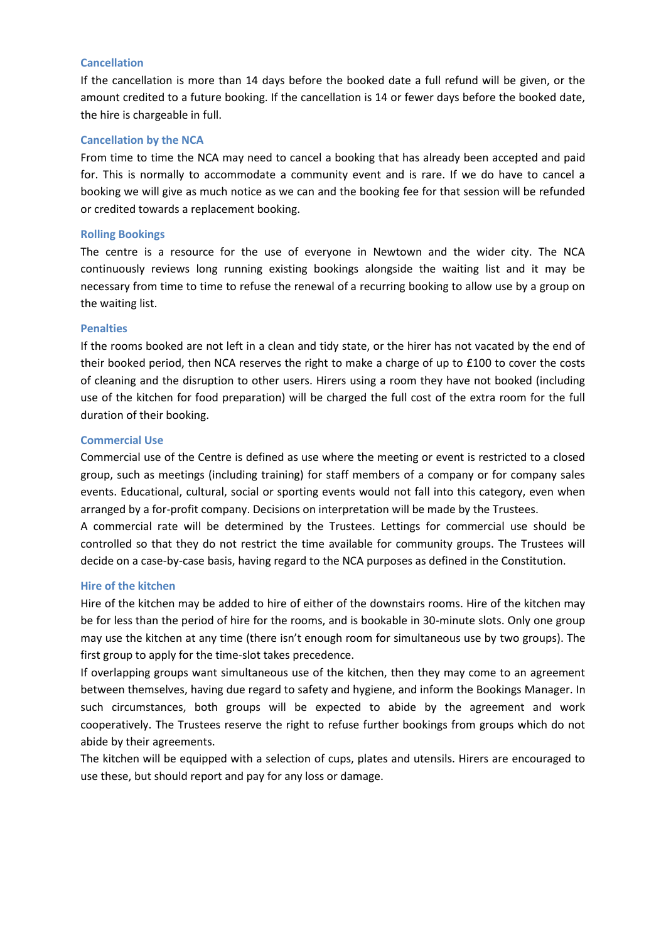#### **Cancellation**

If the cancellation is more than 14 days before the booked date a full refund will be given, or the amount credited to a future booking. If the cancellation is 14 or fewer days before the booked date, the hire is chargeable in full.

### **Cancellation by the NCA**

From time to time the NCA may need to cancel a booking that has already been accepted and paid for. This is normally to accommodate a community event and is rare. If we do have to cancel a booking we will give as much notice as we can and the booking fee for that session will be refunded or credited towards a replacement booking.

#### **Rolling Bookings**

The centre is a resource for the use of everyone in Newtown and the wider city. The NCA continuously reviews long running existing bookings alongside the waiting list and it may be necessary from time to time to refuse the renewal of a recurring booking to allow use by a group on the waiting list.

#### **Penalties**

If the rooms booked are not left in a clean and tidy state, or the hirer has not vacated by the end of their booked period, then NCA reserves the right to make a charge of up to £100 to cover the costs of cleaning and the disruption to other users. Hirers using a room they have not booked (including use of the kitchen for food preparation) will be charged the full cost of the extra room for the full duration of their booking.

## **Commercial Use**

Commercial use of the Centre is defined as use where the meeting or event is restricted to a closed group, such as meetings (including training) for staff members of a company or for company sales events. Educational, cultural, social or sporting events would not fall into this category, even when arranged by a for-profit company. Decisions on interpretation will be made by the Trustees.

A commercial rate will be determined by the Trustees. Lettings for commercial use should be controlled so that they do not restrict the time available for community groups. The Trustees will decide on a case-by-case basis, having regard to the NCA purposes as defined in the Constitution.

#### **Hire of the kitchen**

Hire of the kitchen may be added to hire of either of the downstairs rooms. Hire of the kitchen may be for less than the period of hire for the rooms, and is bookable in 30-minute slots. Only one group may use the kitchen at any time (there isn't enough room for simultaneous use by two groups). The first group to apply for the time-slot takes precedence.

If overlapping groups want simultaneous use of the kitchen, then they may come to an agreement between themselves, having due regard to safety and hygiene, and inform the Bookings Manager. In such circumstances, both groups will be expected to abide by the agreement and work cooperatively. The Trustees reserve the right to refuse further bookings from groups which do not abide by their agreements.

The kitchen will be equipped with a selection of cups, plates and utensils. Hirers are encouraged to use these, but should report and pay for any loss or damage.